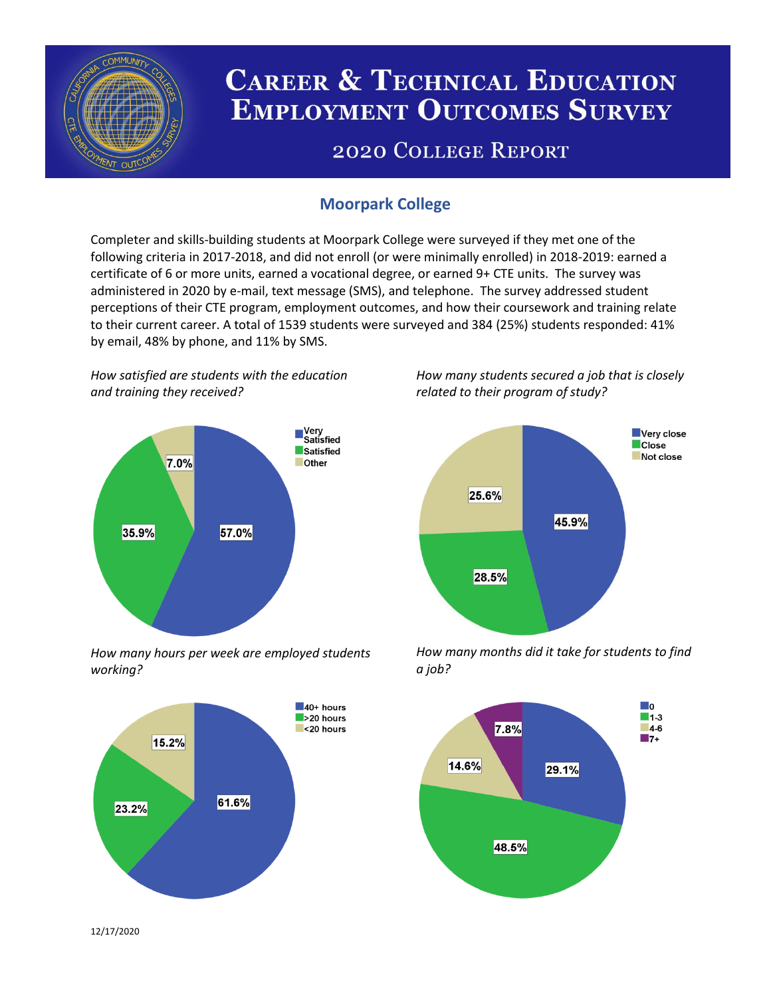

# **CAREER & TECHNICAL EDUCATION EMPLOYMENT OUTCOMES SURVEY**

## **2020 COLLEGE REPORT**

## **Moorpark College**

Completer and skills-building students at Moorpark College were surveyed if they met one of the following criteria in 2017-2018, and did not enroll (or were minimally enrolled) in 2018-2019: earned a certificate of 6 or more units, earned a vocational degree, or earned 9+ CTE units. The survey was administered in 2020 by e-mail, text message (SMS), and telephone. The survey addressed student perceptions of their CTE program, employment outcomes, and how their coursework and training relate to their current career. A total of 1539 students were surveyed and 384 (25%) students responded: 41% by email, 48% by phone, and 11% by SMS.

*How satisfied are students with the education and training they received?*



*How many hours per week are employed students working?*



*How many students secured a job that is closely related to their program of study?*



*How many months did it take for students to find a job?*



12/17/2020